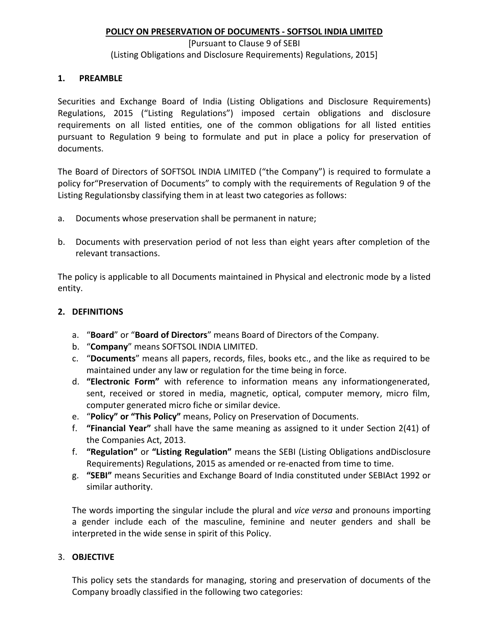#### **POLICY ON PRESERVATION OF DOCUMENTS - SOFTSOL INDIA LIMITED**

#### [Pursuant to Clause 9 of SEBI (Listing Obligations and Disclosure Requirements) Regulations, 2015]

#### **1. PREAMBLE**

Securities and Exchange Board of India (Listing Obligations and Disclosure Requirements) Regulations, 2015 ("Listing Regulations") imposed certain obligations and disclosure requirements on all listed entities, one of the common obligations for all listed entities pursuant to Regulation 9 being to formulate and put in place a policy for preservation of documents.

The Board of Directors of SOFTSOL INDIA LIMITED ("the Company") is required to formulate a policy for"Preservation of Documents" to comply with the requirements of Regulation 9 of the Listing Regulationsby classifying them in at least two categories as follows:

- a. Documents whose preservation shall be permanent in nature;
- b. Documents with preservation period of not less than eight years after completion of the relevant transactions.

The policy is applicable to all Documents maintained in Physical and electronic mode by a listed entity.

### **2. DEFINITIONS**

- a. "**Board**" or "**Board of Directors**" means Board of Directors of the Company.
- b. "**Company**" means SOFTSOL INDIA LIMITED.
- c. "**Documents**" means all papers, records, files, books etc., and the like as required to be maintained under any law or regulation for the time being in force.
- d. **"Electronic Form"** with reference to information means any informationgenerated, sent, received or stored in media, magnetic, optical, computer memory, micro film, computer generated micro fiche or similar device.
- e. "**Policy" or "This Policy"** means, Policy on Preservation of Documents.
- f. **"Financial Year"** shall have the same meaning as assigned to it under Section 2(41) of the Companies Act, 2013.
- f. **"Regulation"** or **"Listing Regulation"** means the SEBI (Listing Obligations andDisclosure Requirements) Regulations, 2015 as amended or re-enacted from time to time.
- g. **"SEBI"** means Securities and Exchange Board of India constituted under SEBIAct 1992 or similar authority.

The words importing the singular include the plural and *vice versa* and pronouns importing a gender include each of the masculine, feminine and neuter genders and shall be interpreted in the wide sense in spirit of this Policy.

## 3. **OBJECTIVE**

This policy sets the standards for managing, storing and preservation of documents of the Company broadly classified in the following two categories: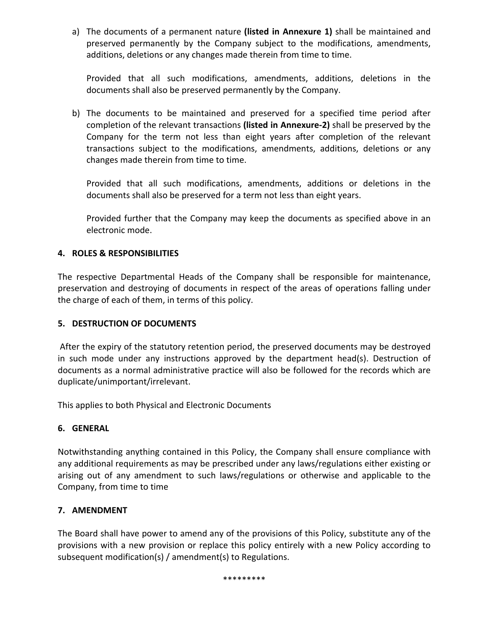a) The documents of a permanent nature **(listed in Annexure 1)** shall be maintained and preserved permanently by the Company subject to the modifications, amendments, additions, deletions or any changes made therein from time to time.

Provided that all such modifications, amendments, additions, deletions in the documents shall also be preserved permanently by the Company.

b) The documents to be maintained and preserved for a specified time period after completion of the relevant transactions **(listed in Annexure-2)** shall be preserved by the Company for the term not less than eight years after completion of the relevant transactions subject to the modifications, amendments, additions, deletions or any changes made therein from time to time.

Provided that all such modifications, amendments, additions or deletions in the documents shall also be preserved for a term not less than eight years.

Provided further that the Company may keep the documents as specified above in an electronic mode.

## **4. ROLES & RESPONSIBILITIES**

The respective Departmental Heads of the Company shall be responsible for maintenance, preservation and destroying of documents in respect of the areas of operations falling under the charge of each of them, in terms of this policy.

## **5. DESTRUCTION OF DOCUMENTS**

After the expiry of the statutory retention period, the preserved documents may be destroyed in such mode under any instructions approved by the department head(s). Destruction of documents as a normal administrative practice will also be followed for the records which are duplicate/unimportant/irrelevant.

This applies to both Physical and Electronic Documents

# **6. GENERAL**

Notwithstanding anything contained in this Policy, the Company shall ensure compliance with any additional requirements as may be prescribed under any laws/regulations either existing or arising out of any amendment to such laws/regulations or otherwise and applicable to the Company, from time to time

# **7. AMENDMENT**

The Board shall have power to amend any of the provisions of this Policy, substitute any of the provisions with a new provision or replace this policy entirely with a new Policy according to subsequent modification(s) / amendment(s) to Regulations.

\*\*\*\*\*\*\*\*\*